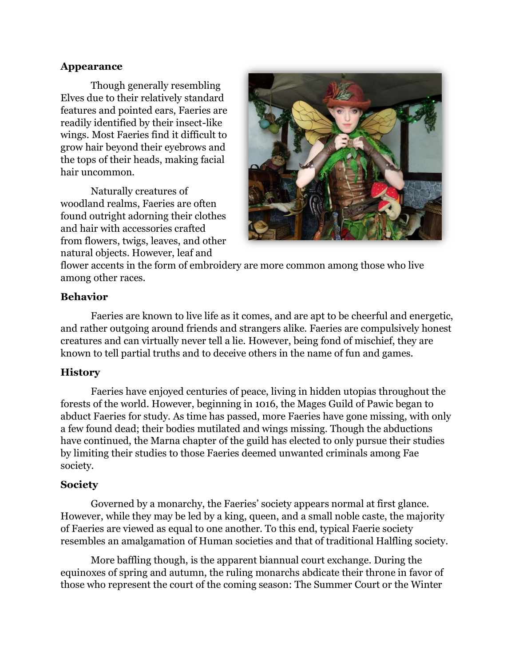#### **Appearance**

Though generally resembling Elves due to their relatively standard features and pointed ears, Faeries are readily identified by their insect-like wings. Most Faeries find it difficult to grow hair beyond their eyebrows and the tops of their heads, making facial hair uncommon.

Naturally creatures of woodland realms, Faeries are often found outright adorning their clothes and hair with accessories crafted from flowers, twigs, leaves, and other natural objects. However, leaf and



flower accents in the form of embroidery are more common among those who live among other races.

## **Behavior**

Faeries are known to live life as it comes, and are apt to be cheerful and energetic, and rather outgoing around friends and strangers alike. Faeries are compulsively honest creatures and can virtually never tell a lie. However, being fond of mischief, they are known to tell partial truths and to deceive others in the name of fun and games.

# **History**

Faeries have enjoyed centuries of peace, living in hidden utopias throughout the forests of the world. However, beginning in 1016, the Mages Guild of Pawic began to abduct Faeries for study. As time has passed, more Faeries have gone missing, with only a few found dead; their bodies mutilated and wings missing. Though the abductions have continued, the Marna chapter of the guild has elected to only pursue their studies by limiting their studies to those Faeries deemed unwanted criminals among Fae society.

#### **Society**

Governed by a monarchy, the Faeries' society appears normal at first glance. However, while they may be led by a king, queen, and a small noble caste, the majority of Faeries are viewed as equal to one another. To this end, typical Faerie society resembles an amalgamation of Human societies and that of traditional Halfling society.

More baffling though, is the apparent biannual court exchange. During the equinoxes of spring and autumn, the ruling monarchs abdicate their throne in favor of those who represent the court of the coming season: The Summer Court or the Winter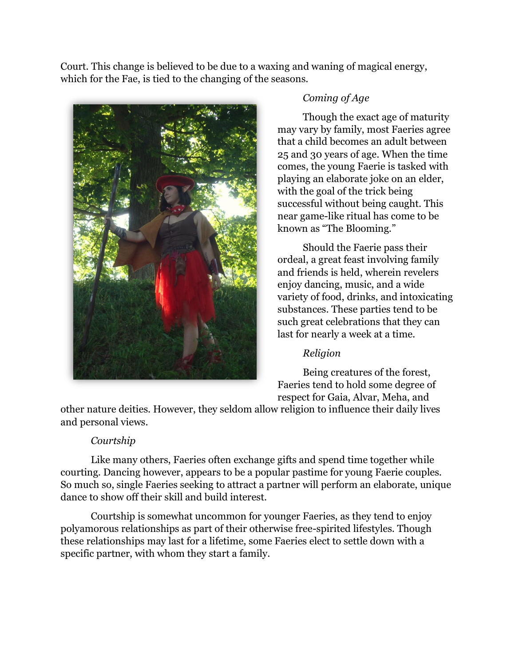Court. This change is believed to be due to a waxing and waning of magical energy, which for the Fae, is tied to the changing of the seasons.



# *Coming of Age*

Though the exact age of maturity may vary by family, most Faeries agree that a child becomes an adult between 25 and 30 years of age. When the time comes, the young Faerie is tasked with playing an elaborate joke on an elder, with the goal of the trick being successful without being caught. This near game-like ritual has come to be known as "The Blooming."

Should the Faerie pass their ordeal, a great feast involving family and friends is held, wherein revelers enjoy dancing, music, and a wide variety of food, drinks, and intoxicating substances. These parties tend to be such great celebrations that they can last for nearly a week at a time.

# *Religion*

Being creatures of the forest, Faeries tend to hold some degree of respect for Gaia, Alvar, Meha, and

other nature deities. However, they seldom allow religion to influence their daily lives and personal views.

# *Courtship*

Like many others, Faeries often exchange gifts and spend time together while courting. Dancing however, appears to be a popular pastime for young Faerie couples. So much so, single Faeries seeking to attract a partner will perform an elaborate, unique dance to show off their skill and build interest.

Courtship is somewhat uncommon for younger Faeries, as they tend to enjoy polyamorous relationships as part of their otherwise free-spirited lifestyles. Though these relationships may last for a lifetime, some Faeries elect to settle down with a specific partner, with whom they start a family.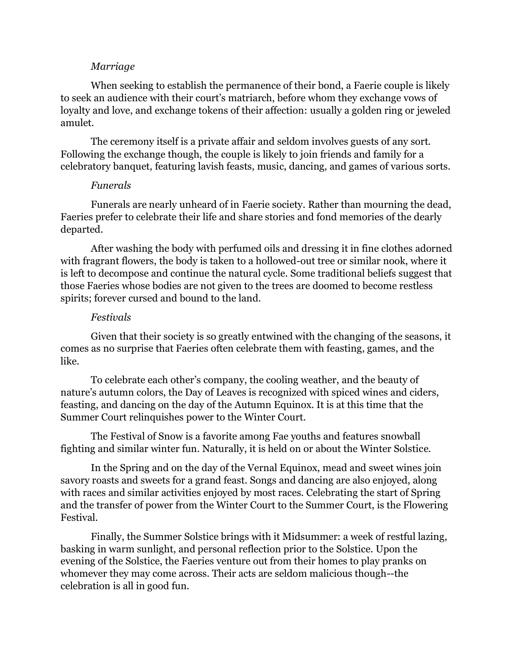#### *Marriage*

When seeking to establish the permanence of their bond, a Faerie couple is likely to seek an audience with their court's matriarch, before whom they exchange vows of loyalty and love, and exchange tokens of their affection: usually a golden ring or jeweled amulet.

The ceremony itself is a private affair and seldom involves guests of any sort. Following the exchange though, the couple is likely to join friends and family for a celebratory banquet, featuring lavish feasts, music, dancing, and games of various sorts.

#### *Funerals*

Funerals are nearly unheard of in Faerie society. Rather than mourning the dead, Faeries prefer to celebrate their life and share stories and fond memories of the dearly departed.

After washing the body with perfumed oils and dressing it in fine clothes adorned with fragrant flowers, the body is taken to a hollowed-out tree or similar nook, where it is left to decompose and continue the natural cycle. Some traditional beliefs suggest that those Faeries whose bodies are not given to the trees are doomed to become restless spirits; forever cursed and bound to the land.

#### *Festivals*

Given that their society is so greatly entwined with the changing of the seasons, it comes as no surprise that Faeries often celebrate them with feasting, games, and the like.

To celebrate each other's company, the cooling weather, and the beauty of nature's autumn colors, the Day of Leaves is recognized with spiced wines and ciders, feasting, and dancing on the day of the Autumn Equinox. It is at this time that the Summer Court relinquishes power to the Winter Court.

The Festival of Snow is a favorite among Fae youths and features snowball fighting and similar winter fun. Naturally, it is held on or about the Winter Solstice.

In the Spring and on the day of the Vernal Equinox, mead and sweet wines join savory roasts and sweets for a grand feast. Songs and dancing are also enjoyed, along with races and similar activities enjoyed by most races. Celebrating the start of Spring and the transfer of power from the Winter Court to the Summer Court, is the Flowering Festival.

Finally, the Summer Solstice brings with it Midsummer: a week of restful lazing, basking in warm sunlight, and personal reflection prior to the Solstice. Upon the evening of the Solstice, the Faeries venture out from their homes to play pranks on whomever they may come across. Their acts are seldom malicious though--the celebration is all in good fun.